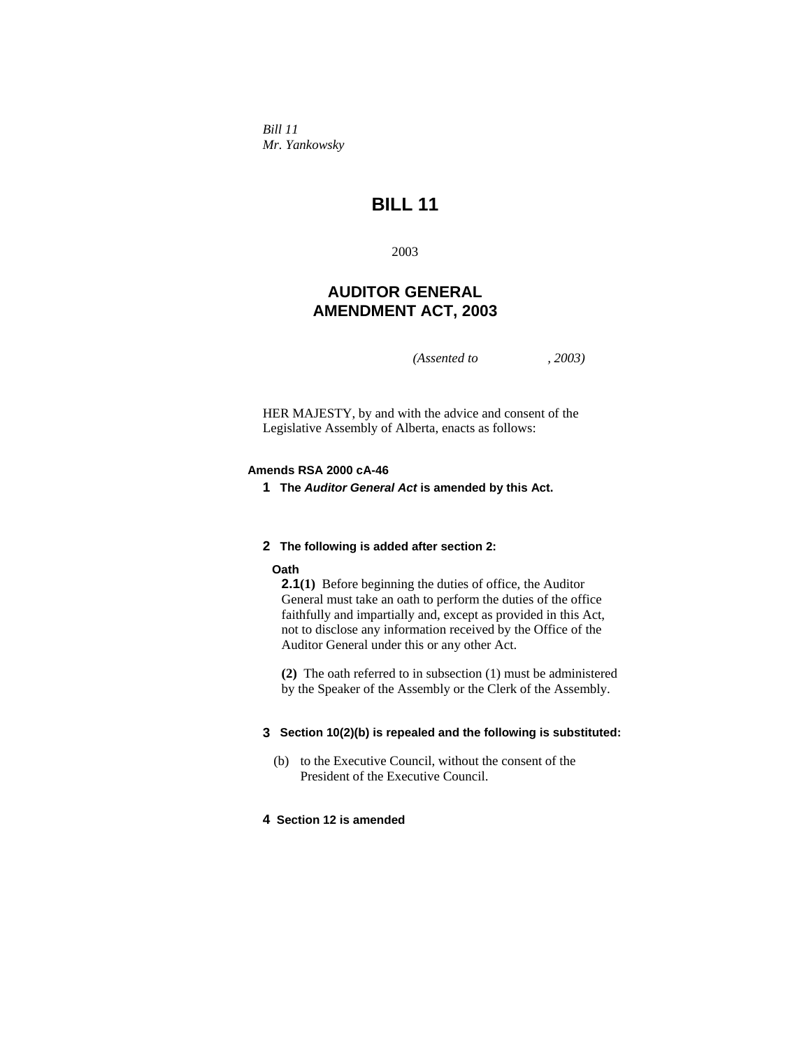*Bill 11 Mr. Yankowsky* 

# **BILL 11**

2003

## **AUDITOR GENERAL AMENDMENT ACT, 2003**

*(Assented to , 2003)* 

HER MAJESTY, by and with the advice and consent of the Legislative Assembly of Alberta, enacts as follows:

## **Amends RSA 2000 cA-46**

**1 The** *Auditor General Act* **is amended by this Act.** 

## **2 The following is added after section 2:**

#### **Oath**

**2.1(1)** Before beginning the duties of office, the Auditor General must take an oath to perform the duties of the office faithfully and impartially and, except as provided in this Act, not to disclose any information received by the Office of the Auditor General under this or any other Act.

**(2)** The oath referred to in subsection (1) must be administered by the Speaker of the Assembly or the Clerk of the Assembly.

#### **3 Section 10(2)(b) is repealed and the following is substituted:**

 (b) to the Executive Council, without the consent of the President of the Executive Council.

#### **4 Section 12 is amended**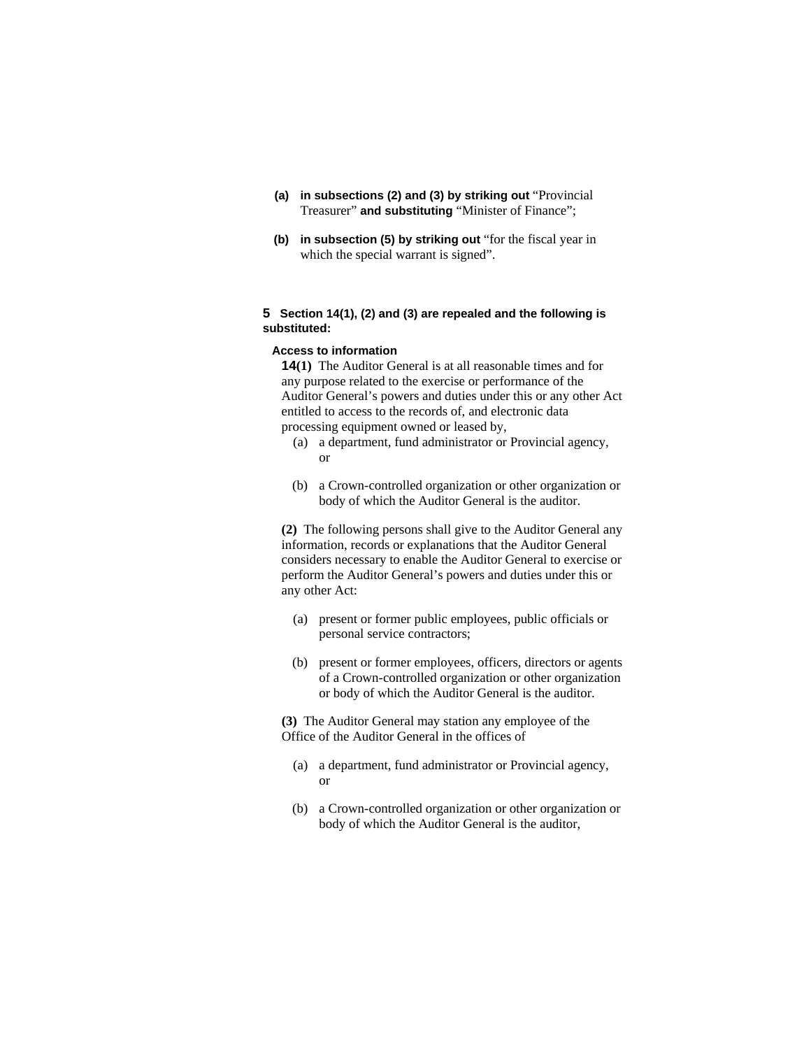- **(a) in subsections (2) and (3) by striking out** "Provincial Treasurer" **and substituting** "Minister of Finance";
- **(b) in subsection (5) by striking out** "for the fiscal year in which the special warrant is signed".

#### **5 Section 14(1), (2) and (3) are repealed and the following is substituted:**

## **Access to information**

**14(1)** The Auditor General is at all reasonable times and for any purpose related to the exercise or performance of the Auditor General's powers and duties under this or any other Act entitled to access to the records of, and electronic data processing equipment owned or leased by,

- (a) a department, fund administrator or Provincial agency, or
- (b) a Crown-controlled organization or other organization or body of which the Auditor General is the auditor.

**(2)** The following persons shall give to the Auditor General any information, records or explanations that the Auditor General considers necessary to enable the Auditor General to exercise or perform the Auditor General's powers and duties under this or any other Act:

- (a) present or former public employees, public officials or personal service contractors;
- (b) present or former employees, officers, directors or agents of a Crown-controlled organization or other organization or body of which the Auditor General is the auditor.

**(3)** The Auditor General may station any employee of the Office of the Auditor General in the offices of

- (a) a department, fund administrator or Provincial agency, or
- (b) a Crown-controlled organization or other organization or body of which the Auditor General is the auditor,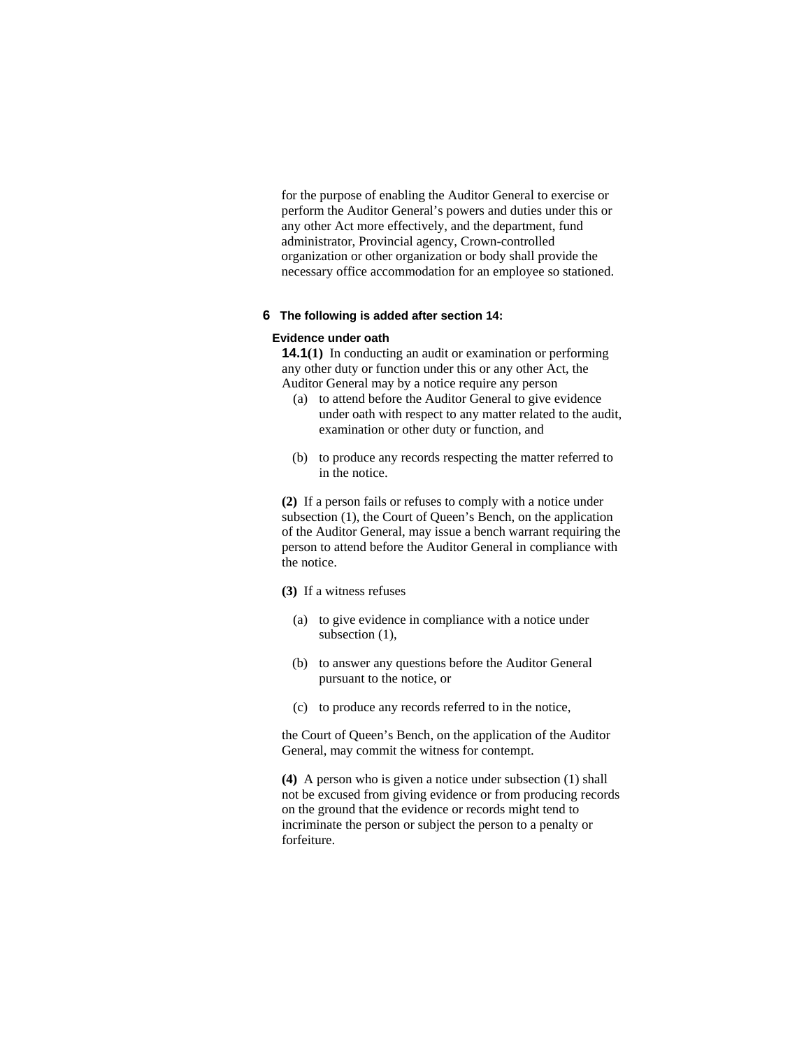for the purpose of enabling the Auditor General to exercise or perform the Auditor General's powers and duties under this or any other Act more effectively, and the department, fund administrator, Provincial agency, Crown-controlled organization or other organization or body shall provide the necessary office accommodation for an employee so stationed.

#### **6 The following is added after section 14:**

#### **Evidence under oath**

**14.1(1)** In conducting an audit or examination or performing any other duty or function under this or any other Act, the Auditor General may by a notice require any person

- (a) to attend before the Auditor General to give evidence under oath with respect to any matter related to the audit, examination or other duty or function, and
- (b) to produce any records respecting the matter referred to in the notice.

**(2)** If a person fails or refuses to comply with a notice under subsection (1), the Court of Queen's Bench, on the application of the Auditor General, may issue a bench warrant requiring the person to attend before the Auditor General in compliance with the notice.

**(3)** If a witness refuses

- (a) to give evidence in compliance with a notice under subsection  $(1)$ ,
- (b) to answer any questions before the Auditor General pursuant to the notice, or
- (c) to produce any records referred to in the notice,

the Court of Queen's Bench, on the application of the Auditor General, may commit the witness for contempt.

**(4)** A person who is given a notice under subsection (1) shall not be excused from giving evidence or from producing records on the ground that the evidence or records might tend to incriminate the person or subject the person to a penalty or forfeiture.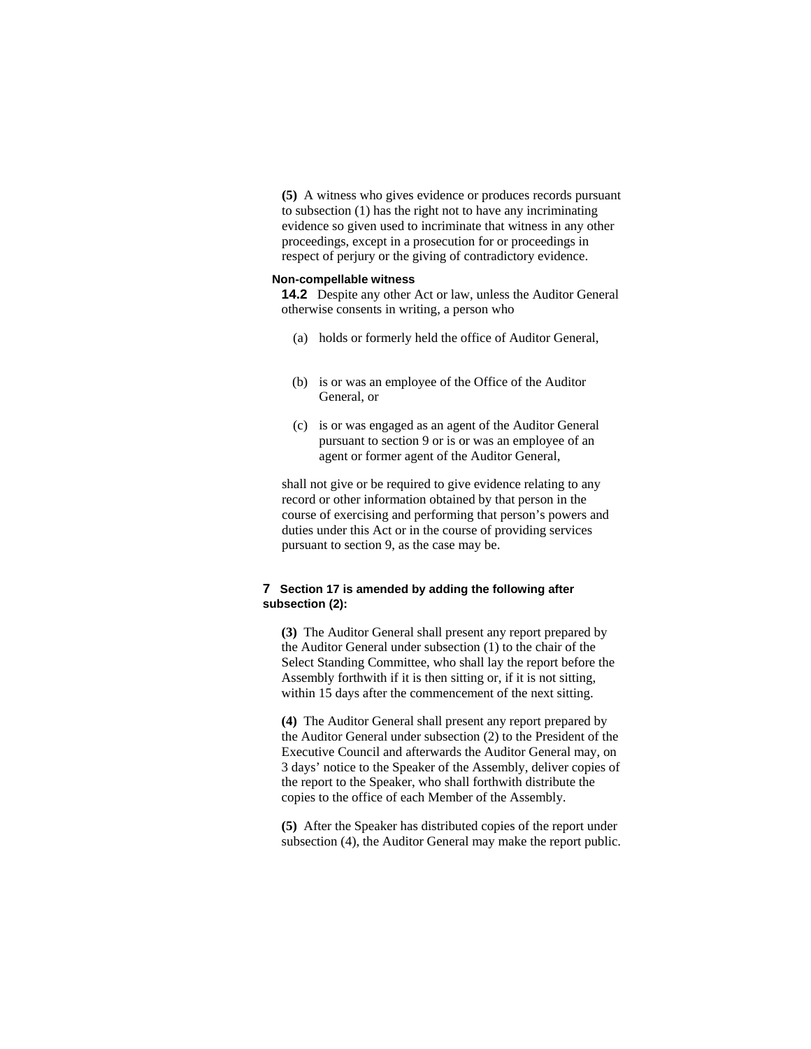**(5)** A witness who gives evidence or produces records pursuant to subsection (1) has the right not to have any incriminating evidence so given used to incriminate that witness in any other proceedings, except in a prosecution for or proceedings in respect of perjury or the giving of contradictory evidence.

#### **Non-compellable witness**

**14.2** Despite any other Act or law, unless the Auditor General otherwise consents in writing, a person who

- (a) holds or formerly held the office of Auditor General,
- (b) is or was an employee of the Office of the Auditor General, or
- (c) is or was engaged as an agent of the Auditor General pursuant to section 9 or is or was an employee of an agent or former agent of the Auditor General,

shall not give or be required to give evidence relating to any record or other information obtained by that person in the course of exercising and performing that person's powers and duties under this Act or in the course of providing services pursuant to section 9, as the case may be.

## **7 Section 17 is amended by adding the following after subsection (2):**

**(3)** The Auditor General shall present any report prepared by the Auditor General under subsection (1) to the chair of the Select Standing Committee, who shall lay the report before the Assembly forthwith if it is then sitting or, if it is not sitting, within 15 days after the commencement of the next sitting.

**(4)** The Auditor General shall present any report prepared by the Auditor General under subsection (2) to the President of the Executive Council and afterwards the Auditor General may, on 3 days' notice to the Speaker of the Assembly, deliver copies of the report to the Speaker, who shall forthwith distribute the copies to the office of each Member of the Assembly.

**(5)** After the Speaker has distributed copies of the report under subsection (4), the Auditor General may make the report public.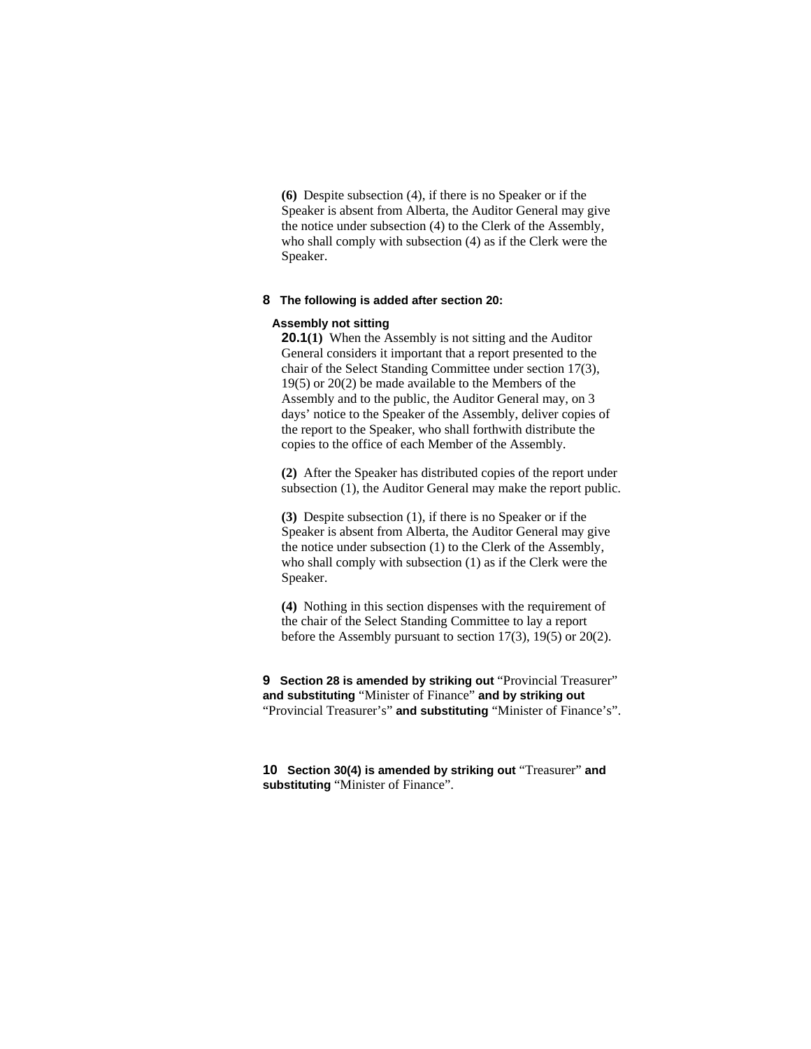**(6)** Despite subsection (4), if there is no Speaker or if the Speaker is absent from Alberta, the Auditor General may give the notice under subsection (4) to the Clerk of the Assembly, who shall comply with subsection (4) as if the Clerk were the Speaker.

#### **8 The following is added after section 20:**

#### **Assembly not sitting**

**20.1(1)** When the Assembly is not sitting and the Auditor General considers it important that a report presented to the chair of the Select Standing Committee under section 17(3), 19(5) or 20(2) be made available to the Members of the Assembly and to the public, the Auditor General may, on 3 days' notice to the Speaker of the Assembly, deliver copies of the report to the Speaker, who shall forthwith distribute the copies to the office of each Member of the Assembly.

**(2)** After the Speaker has distributed copies of the report under subsection (1), the Auditor General may make the report public.

**(3)** Despite subsection (1), if there is no Speaker or if the Speaker is absent from Alberta, the Auditor General may give the notice under subsection (1) to the Clerk of the Assembly, who shall comply with subsection (1) as if the Clerk were the Speaker.

**(4)** Nothing in this section dispenses with the requirement of the chair of the Select Standing Committee to lay a report before the Assembly pursuant to section 17(3), 19(5) or 20(2).

**9** Section 28 is amended by striking out "Provincial Treasurer" **and substituting** "Minister of Finance" **and by striking out**  "Provincial Treasurer's" **and substituting** "Minister of Finance's".

**10 Section 30(4) is amended by striking out** "Treasurer" **and substituting** "Minister of Finance".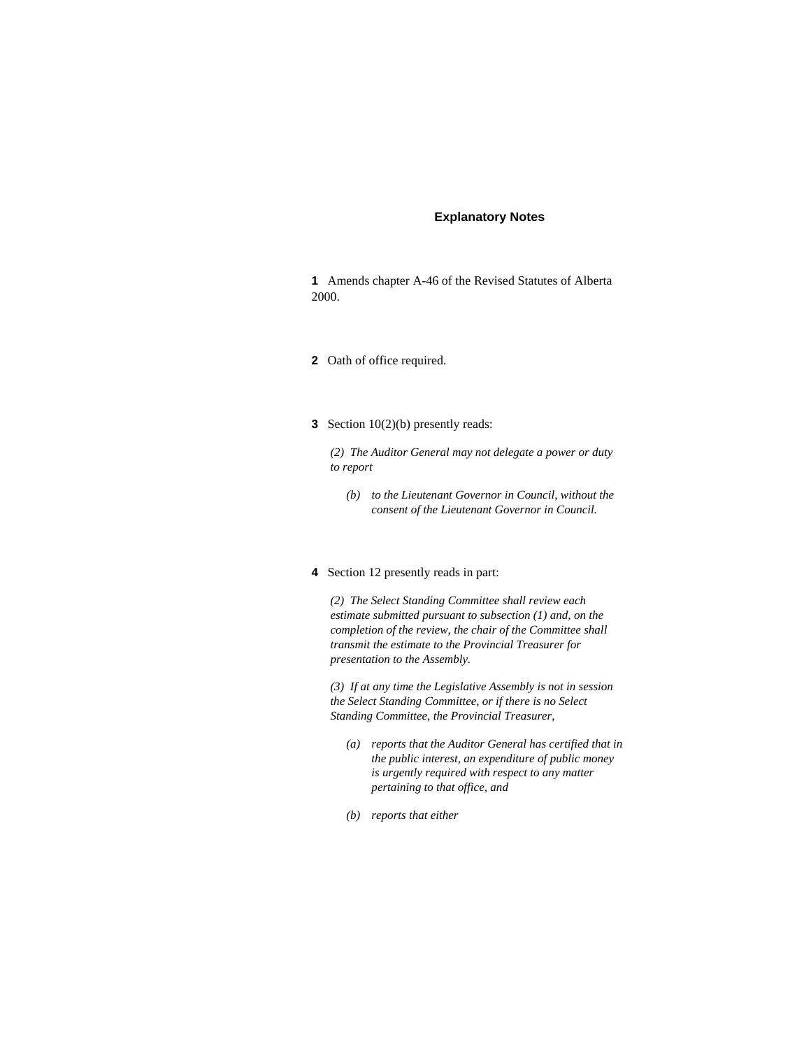#### **Explanatory Notes**

**1** Amends chapter A-46 of the Revised Statutes of Alberta 2000.

- **2** Oath of office required.
- **3** Section 10(2)(b) presently reads:

*(2) The Auditor General may not delegate a power or duty to report* 

- *(b) to the Lieutenant Governor in Council, without the consent of the Lieutenant Governor in Council.*
- **4** Section 12 presently reads in part:

*(2) The Select Standing Committee shall review each estimate submitted pursuant to subsection (1) and, on the completion of the review, the chair of the Committee shall transmit the estimate to the Provincial Treasurer for presentation to the Assembly.* 

*(3) If at any time the Legislative Assembly is not in session the Select Standing Committee, or if there is no Select Standing Committee, the Provincial Treasurer,* 

- *(a) reports that the Auditor General has certified that in the public interest, an expenditure of public money is urgently required with respect to any matter pertaining to that office, and*
- *(b) reports that either*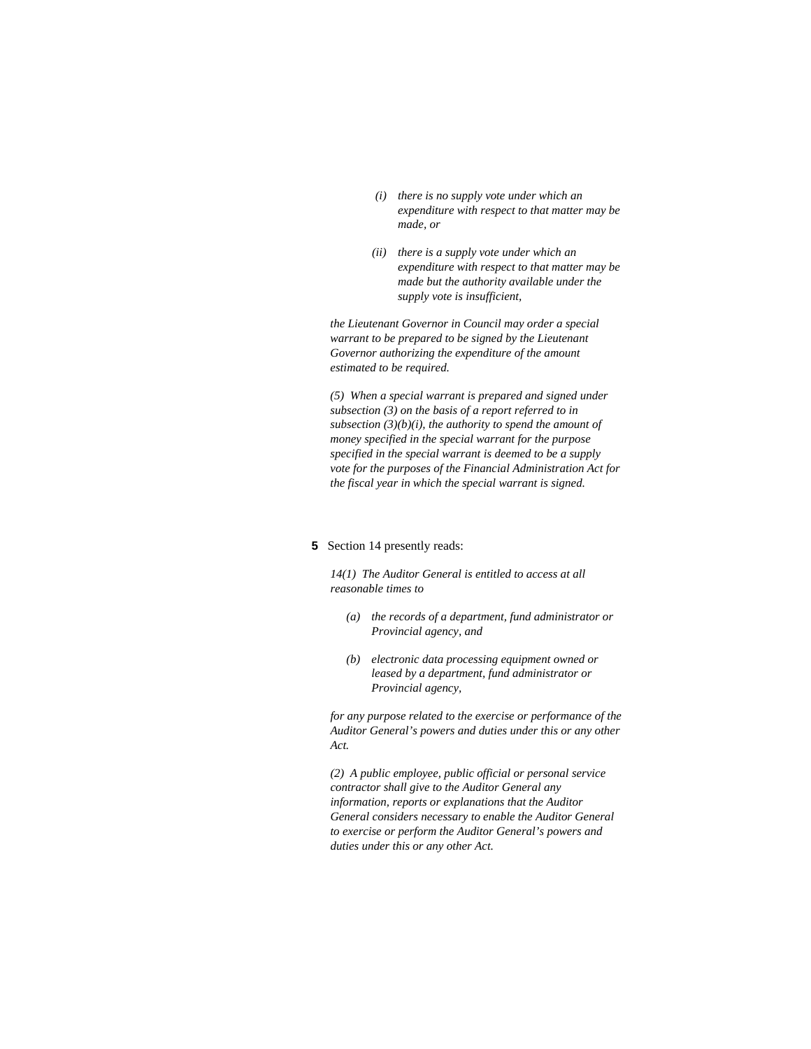- *(i) there is no supply vote under which an expenditure with respect to that matter may be made, or*
- *(ii) there is a supply vote under which an expenditure with respect to that matter may be made but the authority available under the supply vote is insufficient,*

*the Lieutenant Governor in Council may order a special warrant to be prepared to be signed by the Lieutenant Governor authorizing the expenditure of the amount estimated to be required.* 

*(5) When a special warrant is prepared and signed under subsection (3) on the basis of a report referred to in subsection (3)(b)(i), the authority to spend the amount of money specified in the special warrant for the purpose specified in the special warrant is deemed to be a supply vote for the purposes of the Financial Administration Act for the fiscal year in which the special warrant is signed.* 

## **5** Section 14 presently reads:

*14(1) The Auditor General is entitled to access at all reasonable times to* 

- *(a) the records of a department, fund administrator or Provincial agency, and*
- *(b) electronic data processing equipment owned or leased by a department, fund administrator or Provincial agency,*

*for any purpose related to the exercise or performance of the Auditor General's powers and duties under this or any other Act.* 

*(2) A public employee, public official or personal service contractor shall give to the Auditor General any information, reports or explanations that the Auditor General considers necessary to enable the Auditor General to exercise or perform the Auditor General's powers and duties under this or any other Act.*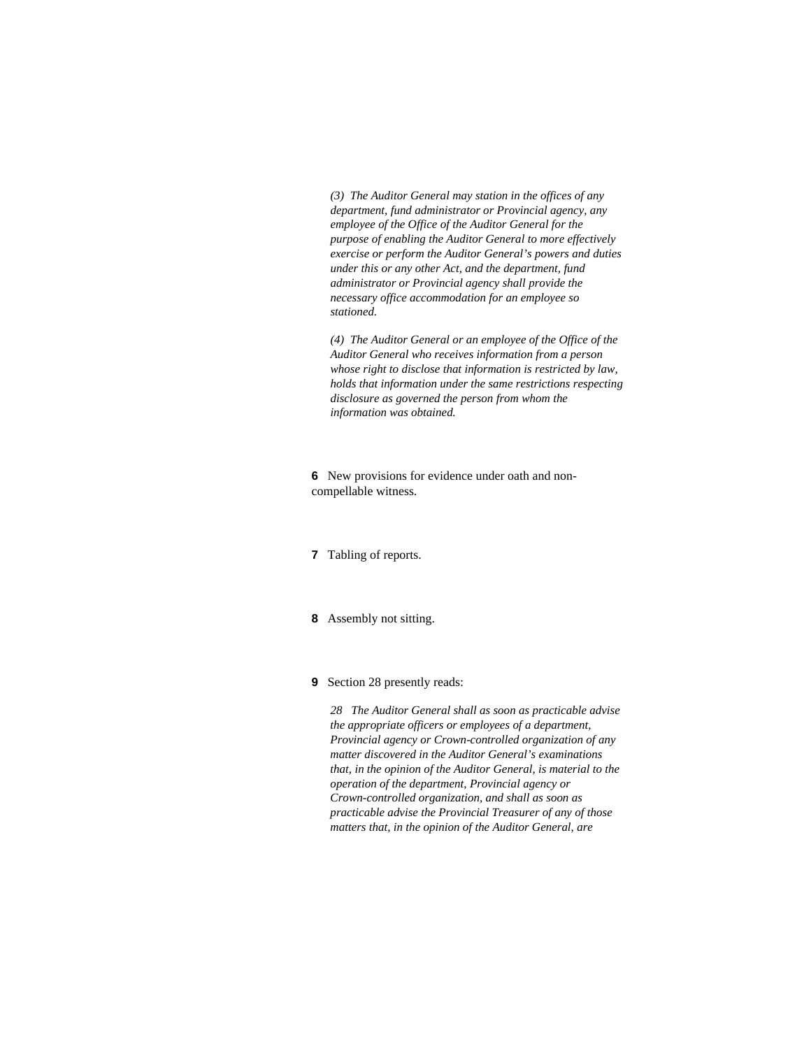*(3) The Auditor General may station in the offices of any department, fund administrator or Provincial agency, any employee of the Office of the Auditor General for the purpose of enabling the Auditor General to more effectively exercise or perform the Auditor General's powers and duties under this or any other Act, and the department, fund administrator or Provincial agency shall provide the necessary office accommodation for an employee so stationed.* 

*(4) The Auditor General or an employee of the Office of the Auditor General who receives information from a person whose right to disclose that information is restricted by law, holds that information under the same restrictions respecting disclosure as governed the person from whom the information was obtained.* 

**6** New provisions for evidence under oath and noncompellable witness.

- **7** Tabling of reports.
- **8** Assembly not sitting.
- **9** Section 28 presently reads:

*28 The Auditor General shall as soon as practicable advise the appropriate officers or employees of a department, Provincial agency or Crown-controlled organization of any matter discovered in the Auditor General's examinations that, in the opinion of the Auditor General, is material to the operation of the department, Provincial agency or Crown-controlled organization, and shall as soon as practicable advise the Provincial Treasurer of any of those matters that, in the opinion of the Auditor General, are*